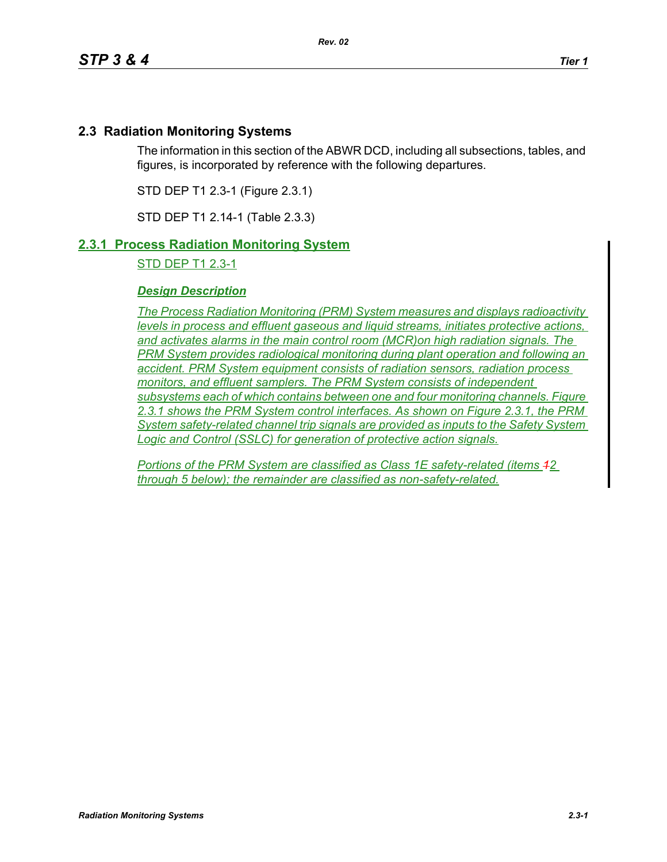# **2.3 Radiation Monitoring Systems**

The information in this section of the ABWR DCD, including all subsections, tables, and figures, is incorporated by reference with the following departures.

STD DEP T1 2.3-1 (Figure 2.3.1)

STD DEP T1 2.14-1 (Table 2.3.3)

## **2.3.1 Process Radiation Monitoring System**

STD DEP T1 2.3-1

### *Design Description*

*The Process Radiation Monitoring (PRM) System measures and displays radioactivity levels in process and effluent gaseous and liquid streams, initiates protective actions, and activates alarms in the main control room (MCR)on high radiation signals. The PRM System provides radiological monitoring during plant operation and following an accident. PRM System equipment consists of radiation sensors, radiation process monitors, and effluent samplers. The PRM System consists of independent subsystems each of which contains between one and four monitoring channels. Figure 2.3.1 shows the PRM System control interfaces. As shown on Figure 2.3.1, the PRM System safety-related channel trip signals are provided as inputs to the Safety System Logic and Control (SSLC) for generation of protective action signals.*

*Portions of the PRM System are classified as Class 1E safety-related (items 12 through 5 below); the remainder are classified as non-safety-related.*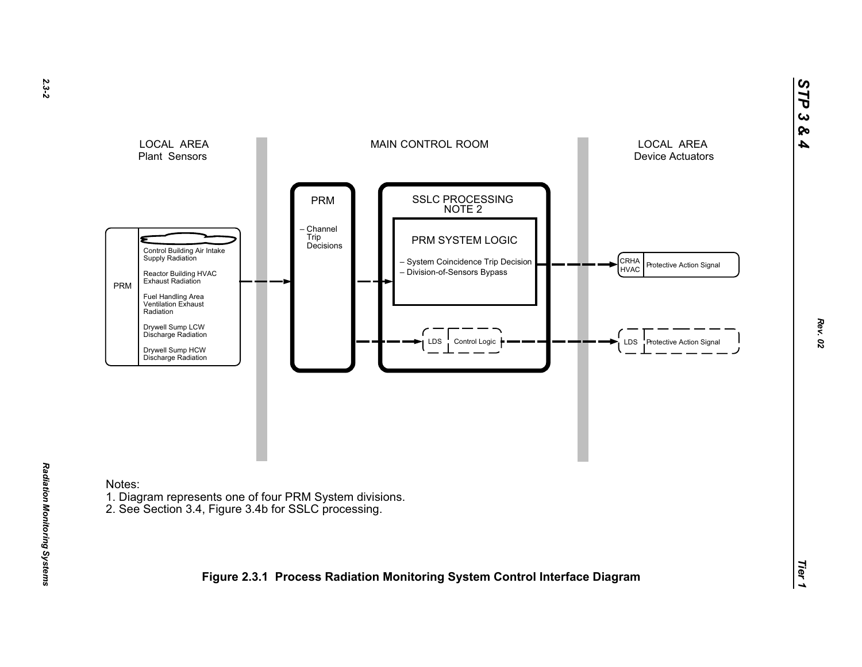

- 
-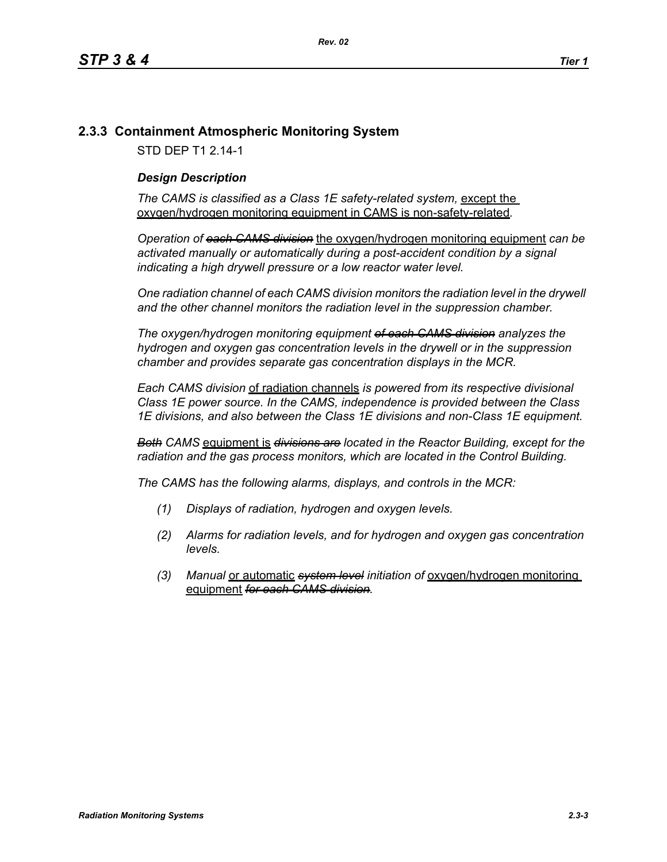### **2.3.3 Containment Atmospheric Monitoring System**

STD DEP T1 2.14-1

#### *Design Description*

The CAMS is classified as a Class 1E safety-related system, except the oxygen/hydrogen monitoring equipment in CAMS is non-safety-related*.*

*Operation of each CAMS division* the oxygen/hydrogen monitoring equipment *can be*  activated manually or automatically during a post-accident condition by a signal *indicating a high drywell pressure or a low reactor water level.* 

*One radiation channel of each CAMS division monitors the radiation level in the drywell and the other channel monitors the radiation level in the suppression chamber.*

*The oxygen/hydrogen monitoring equipment of each CAMS division analyzes the hydrogen and oxygen gas concentration levels in the drywell or in the suppression chamber and provides separate gas concentration displays in the MCR.*

*Each CAMS division* of radiation channels *is powered from its respective divisional Class 1E power source. In the CAMS, independence is provided between the Class 1E divisions, and also between the Class 1E divisions and non-Class 1E equipment.*

*Both CAMS* equipment is *divisions are located in the Reactor Building, except for the radiation and the gas process monitors, which are located in the Control Building.*

*The CAMS has the following alarms, displays, and controls in the MCR:*

- *(1) Displays of radiation, hydrogen and oxygen levels.*
- *(2) Alarms for radiation levels, and for hydrogen and oxygen gas concentration levels.*
- *(3) Manual* or automatic *system level initiation of* oxygen/hydrogen monitoring equipment *for each CAMS division.*